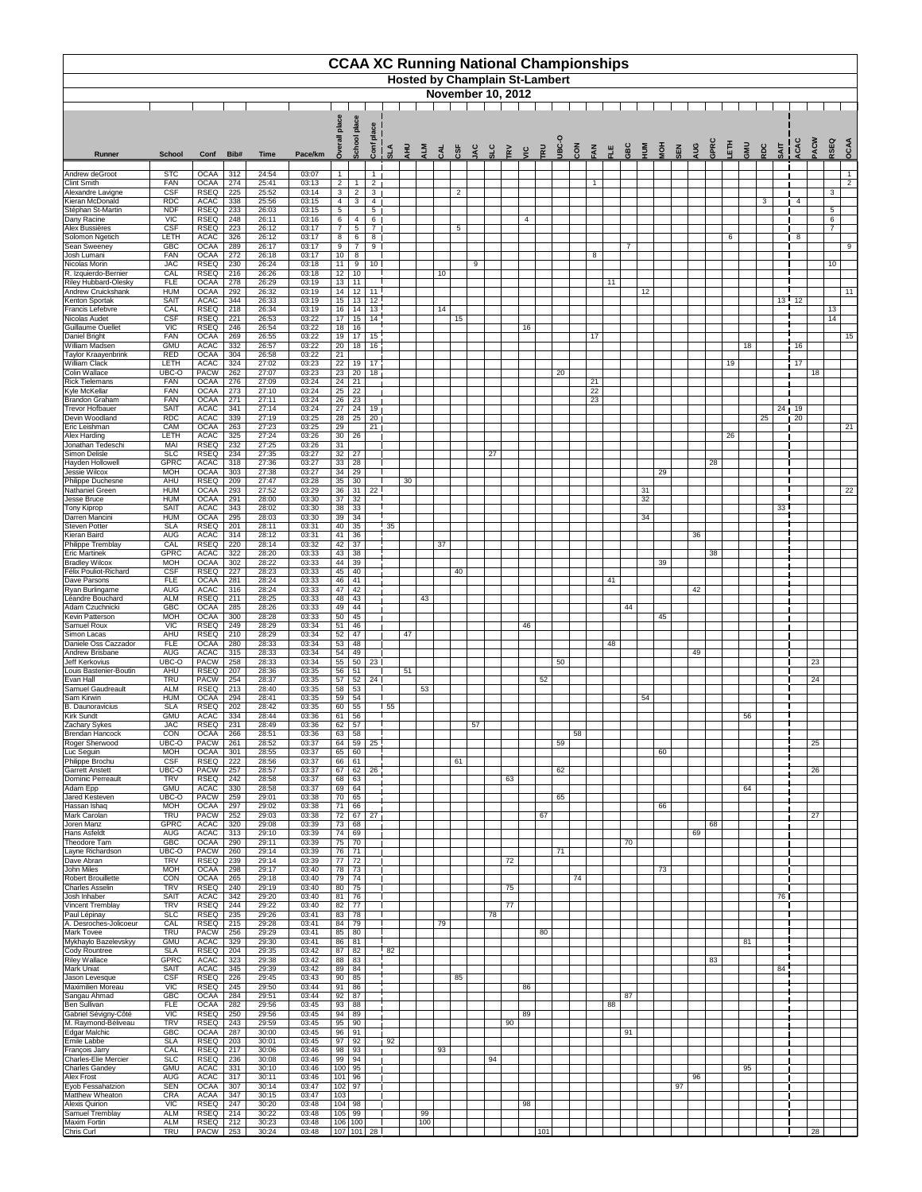|                                                                                  |                                 |                                           |                   |                         |                         |                                   |                          |                                    |                 |           |           |     | <b>CCAA XC Running National Championships</b> |     |    |                                  |     |            |                                    |          |                |             |     |            |     |      |    |     |                    |               |     |                                   |      |
|----------------------------------------------------------------------------------|---------------------------------|-------------------------------------------|-------------------|-------------------------|-------------------------|-----------------------------------|--------------------------|------------------------------------|-----------------|-----------|-----------|-----|-----------------------------------------------|-----|----|----------------------------------|-----|------------|------------------------------------|----------|----------------|-------------|-----|------------|-----|------|----|-----|--------------------|---------------|-----|-----------------------------------|------|
|                                                                                  |                                 |                                           |                   |                         |                         |                                   |                          |                                    |                 |           |           |     | <b>Hosted by Champlain St-Lambert</b>         |     |    |                                  |     |            |                                    |          |                |             |     |            |     |      |    |     |                    |               |     |                                   |      |
|                                                                                  |                                 | <b>November 10, 2012</b>                  |                   |                         |                         |                                   |                          |                                    |                 |           |           |     |                                               |     |    |                                  |     |            |                                    |          |                |             |     |            |     |      |    |     |                    |               |     |                                   |      |
|                                                                                  |                                 |                                           |                   |                         |                         |                                   | place                    | ace<br>ᇗ                           |                 |           |           |     |                                               |     |    |                                  |     |            |                                    |          |                |             |     |            |     |      |    |     |                    |               |     |                                   |      |
| Runner                                                                           | <b>School</b>                   | Conf                                      | Bib#              | <b>Time</b>             | Pace/km                 | ò                                 | School                   | Conf                               | $\frac{1}{3}$   | $\vec{H}$ | ALM       | CAL | CSF<br>JAC                                    | SLC | EV | <b>TRU</b><br>$rac{c}{\sqrt{c}}$ |     | <b>SEL</b> | $rac{8}{20}$<br>$Z_{\overline{A}}$ | 븬        | GBC            | $rac{5}{5}$ | HON | <b>SEN</b> | PUN | GPRO | 舌  | UMS | SOS<br><b>SAIT</b> | ACAC          | ACW | RSEQ                              | OCAA |
| Andrew deGroot                                                                   | <b>STC</b>                      | <b>OCAA</b>                               | 312               | 24:54                   | 03:07                   |                                   |                          | $\overline{1}$                     |                 |           |           |     |                                               |     |    |                                  |     |            |                                    |          |                |             |     |            |     |      |    |     |                    |               |     |                                   | -1   |
| <b>Clint Smith</b><br>Alexandre Lavigne                                          | <b>FAN</b><br><b>CSF</b>        | <b>OCAA</b><br><b>RSEQ</b>                | 274<br>225        | 25:41<br>25:52          | 03:13<br>03:14          | $\overline{2}$<br>3 <sup>7</sup>  | -1<br>$\overline{2}$     | $\overline{2}$<br>$\mathbf{3}$     |                 |           |           |     | $\overline{2}$                                |     |    |                                  |     |            |                                    |          |                |             |     |            |     |      |    |     |                    |               |     | $\mathbf{3}$                      | 2    |
| Kieran McDonald<br>Stéphan St-Martin                                             | <b>RDC</b><br><b>NDF</b>        | <b>ACAC</b><br><b>RSEQ</b>                | 338<br>233        | 25:56<br>26:03          | 03:15<br>03:15          | $\overline{4}$<br>5 <sup>5</sup>  | 3                        | 4<br>$5\phantom{.0}$               |                 |           |           |     |                                               |     |    |                                  |     |            |                                    |          |                |             |     |            |     |      |    |     | 3                  | 4             |     | $5\phantom{.0}$                   |      |
| Dany Racine<br>Alex Bussières                                                    | <b>VIC</b><br>CSF<br>LETH       | <b>RSEQ</b><br><b>RSEQ</b>                | 248<br>223<br>326 | 26:11<br>26:12<br>26:12 | 03:16<br>03:17          | $6\overline{6}$<br>7 <sup>7</sup> | -4<br>5                  | 6<br>$\overline{7}$                |                 |           |           |     | $5\overline{)}$                               |     |    | 4                                |     |            |                                    |          |                |             |     |            |     |      |    |     |                    |               |     | $6\phantom{.}6$<br>$\overline{7}$ |      |
| Solomon Ngetich<br><b>Sean Sweeney</b>                                           | <b>GBC</b>                      | <b>ACAC</b><br><b>OCAA</b>                | 289               | 26:17                   | 03:17<br>03:17          | 8<br>9                            | 6<br>$\overline{7}$      | 8<br>9                             |                 |           |           |     |                                               |     |    |                                  |     |            |                                    |          | $\overline{7}$ |             |     |            |     |      | 6  |     |                    | 8             |     |                                   | 9    |
| Josh Lumani<br>Nicolas Morin                                                     | <b>FAN</b><br><b>JAC</b>        | <b>OCAA</b><br><b>RSEQ</b>                | 272<br>230        | 26:18<br>26:24          | 03:17<br>03:18          | 10 <sup>1</sup><br>11             | 8<br>9                   | 10 <sup>1</sup>                    |                 |           |           |     | 9                                             |     |    |                                  |     |            |                                    | 8        |                |             |     |            |     |      |    |     |                    |               |     | 10                                |      |
| R. Izquierdo-Bernier<br><b>Riley Hubbard-Olesky</b><br><b>Andrew Cruickshank</b> | CAL<br><b>FLE</b><br><b>HUM</b> | <b>RSEQ</b><br><b>OCAA</b><br><b>OCAA</b> | 216<br>278<br>292 | 26:26<br>26:29<br>26:32 | 03:18<br>03:19<br>03:19 | 12<br>13<br>14                    | 10<br>11<br>12           | 11                                 |                 |           |           | 10  |                                               |     |    |                                  |     |            |                                    | 11       |                | 12          |     |            |     |      |    |     |                    |               |     |                                   | 11   |
| Kenton Sportak<br>Francis Lefebvre                                               | <b>SAIT</b><br>CAL              | <b>ACAC</b><br><b>RSEQ</b>                | 344<br>218        | 26:33<br>26:34          | 03:19<br>03:19          | 15<br>16                          | 13<br>14                 | $\overline{12}$<br>$\overline{13}$ |                 |           |           | 14  |                                               |     |    |                                  |     |            |                                    |          |                |             |     |            |     |      |    |     |                    | $13$ $12$     |     | 13                                |      |
| Nicolas Audet<br><b>Guillaume Ouellet</b>                                        | CSF<br><b>VIC</b>               | <b>RSEQ</b><br><b>RSEQ</b>                | 221<br>246        | 26:53<br>26:54          | 03:22<br>03:22          | 17<br>18                          | 15<br>16                 | 14                                 |                 |           |           |     | 15                                            |     |    | 16                               |     |            |                                    |          |                |             |     |            |     |      |    |     |                    |               |     | 14                                |      |
| Daniel Bright<br><b>William Madsen</b>                                           | <b>FAN</b><br><b>GMU</b>        | <b>OCAA</b><br><b>ACAC</b>                | 269<br>332        | 26:55<br>26:57          | 03:22<br>03:22          | 19<br>20 <sup>1</sup>             | $\overline{17}$ 15       | $18$ 16                            |                 |           |           |     |                                               |     |    |                                  |     |            |                                    | 17       |                |             |     |            |     |      |    | 18  |                    | 16            |     |                                   | 15   |
| <b>Taylor Kraayenbrink</b><br><b>William Clack</b>                               | <b>RED</b><br>LETH              | <b>OCAA</b><br><b>ACAC</b>                | 304<br>324        | 26:58<br>27:02          | 03:22<br>03:23          | 21<br>22                          |                          | $19$ 17                            |                 |           |           |     |                                               |     |    |                                  |     |            |                                    |          |                |             |     |            |     |      | 19 |     |                    | 17            |     |                                   |      |
| Colin Wallace<br><b>Rick Tielemans</b>                                           | UBC-O<br><b>FAN</b>             | <b>PACW</b><br><b>OCAA</b>                | 262<br>276        | 27:07<br>27:09          | 03:23<br>03:24          | $\overline{23}$<br>24             | 20<br>21                 | 18                                 |                 |           |           |     |                                               |     |    |                                  |     | 20         | 21                                 |          |                |             |     |            |     |      |    |     |                    |               | 18  |                                   |      |
| Kyle McKellar<br><b>Brandon Graham</b>                                           | <b>FAN</b><br><b>FAN</b>        | <b>OCAA</b><br><b>OCAA</b>                | 273<br>271        | 27:10<br>27:11          | 03:24<br>03:24          | 25<br>26                          | 22<br>23                 |                                    |                 |           |           |     |                                               |     |    |                                  |     |            |                                    | 22<br>23 |                |             |     |            |     |      |    |     |                    |               |     |                                   |      |
| <b>Trevor Hofbauer</b><br>Devin Woodland                                         | <b>SAIT</b><br><b>RDC</b>       | <b>ACAC</b><br><b>ACAC</b>                | 341<br>339        | 27:14<br>27:19          | 03:24<br>03:25          | 27<br>28                          | 24<br>25                 | 19  <br>20 <sub>1</sub>            |                 |           |           |     |                                               |     |    |                                  |     |            |                                    |          |                |             |     |            |     |      |    |     | 25                 | 24   19<br>20 |     |                                   |      |
| Eric Leishman<br><b>Alex Harding</b>                                             | CAM<br>LETH                     | <b>OCAA</b><br><b>ACAC</b>                | 263<br>325        | 27:23<br>27:24          | 03:25<br>03:26          | 29                                | $30 \mid 26$             | 21                                 |                 |           |           |     |                                               |     |    |                                  |     |            |                                    |          |                |             |     |            |     |      | 26 |     |                    |               |     |                                   | 21   |
| Jonathan Tedeschi<br>Simon Delisle                                               | MAI<br><b>SLC</b>               | <b>RSEQ</b><br><b>RSEQ</b>                | 232<br>234        | 27:25<br>27:35          | 03:26<br>03:27          | 31<br>32                          | 27                       |                                    |                 |           |           |     |                                               | 27  |    |                                  |     |            |                                    |          |                |             |     |            |     |      |    |     |                    |               |     |                                   |      |
| Hayden Hollowell<br>Jessie Wilcox                                                | <b>GPRC</b><br><b>MOH</b>       | <b>ACAC</b><br><b>OCAA</b>                | 318<br>303        | 27:36<br>27:38          | 03:27<br>03:27          | 33<br>34                          | 28<br>29                 |                                    |                 |           |           |     |                                               |     |    |                                  |     |            |                                    |          |                |             | 29  |            |     | 28   |    |     |                    |               |     |                                   |      |
| Philippe Duchesne<br><b>Nathaniel Green</b>                                      | AHU<br><b>HUM</b>               | <b>RSEQ</b><br><b>OCAA</b>                | 209<br>293        | 27:47<br>27:52          | 03:28<br>03:29          | 35<br>36                          | 30<br>31                 | $22$ I                             |                 | 30        |           |     |                                               |     |    |                                  |     |            |                                    |          |                | 31          |     |            |     |      |    |     |                    |               |     |                                   | 22   |
| Jesse Bruce<br>Tony Kiprop                                                       | <b>HUM</b><br><b>SAIT</b>       | <b>OCAA</b><br><b>ACAC</b>                | 291<br>343        | 28:00<br>28:02          | 03:30<br>03:30          | 37<br>38                          | $\overline{32}$<br>33    |                                    |                 |           |           |     |                                               |     |    |                                  |     |            |                                    |          |                | 32          |     |            |     |      |    |     | 33                 |               |     |                                   |      |
| Darren Mancini<br><b>Steven Potter</b>                                           | <b>HUM</b><br><b>SLA</b>        | <b>OCAA</b><br><b>RSEQ</b>                | 295<br>201        | 28:03<br>28:11          | 03:30<br>03:31          | 39<br>40                          | 34<br>35                 |                                    | 35              |           |           |     |                                               |     |    |                                  |     |            |                                    |          |                | 34          |     |            |     |      |    |     |                    |               |     |                                   |      |
| <b>Kieran Baird</b><br><b>Philippe Tremblay</b>                                  | <b>AUG</b><br>CAL               | <b>ACAC</b><br><b>RSEQ</b>                | 314<br>220        | 28:12<br>28:14          | 03:31<br>03:32          | 41                                | 36<br>$42 \overline{37}$ |                                    |                 |           |           | 37  |                                               |     |    |                                  |     |            |                                    |          |                |             |     |            | 36  |      |    |     |                    |               |     |                                   |      |
| <b>Eric Martinek</b><br><b>Bradley Wilcox</b>                                    | <b>GPRC</b><br><b>MOH</b>       | <b>ACAC</b><br><b>OCAA</b>                | 322<br>302        | 28:20<br>28:22          | 03:33<br>03:33          | 44                                | $43 \mid 38$<br>39       |                                    |                 |           |           |     |                                               |     |    |                                  |     |            |                                    |          |                |             | 39  |            |     | 38   |    |     |                    |               |     |                                   |      |
| <b>Félix Pouliot-Richard</b><br>Dave Parsons                                     | <b>CSF</b><br><b>FLE</b>        | <b>RSEQ</b><br><b>OCAA</b>                | 227<br>281        | 28:23<br>28:24          | 03:33<br>03:33          | 45                                | $-40$<br>$46 \mid 41$    |                                    |                 |           |           |     | 40                                            |     |    |                                  |     |            |                                    | 41       |                |             |     |            |     |      |    |     |                    |               |     |                                   |      |
| Ryan Burlingame<br>Léandre Bouchard                                              | <b>AUG</b><br><b>ALM</b>        | <b>ACAC</b><br><b>RSEQ</b>                | 316<br>211        | 28:24<br>28:25          | 03:33<br>03:33          | 47<br>48                          | 42<br>$-43$              |                                    |                 |           | 43        |     |                                               |     |    |                                  |     |            |                                    |          |                |             |     |            | 42  |      |    |     |                    |               |     |                                   |      |
| Adam Czuchnicki<br>Kevin Patterson                                               | <b>GBC</b><br><b>MOH</b>        | <b>OCAA</b><br><b>OCAA</b>                | 285<br>300        | 28:26<br>28:28          | 03:33<br>03:33          | 49<br>50                          | $-44$<br>45              |                                    |                 |           |           |     |                                               |     |    |                                  |     |            |                                    |          | 44             |             | 45  |            |     |      |    |     |                    |               |     |                                   |      |
| Samuel Roux<br>Simon Lacas                                                       | <b>VIC</b><br>AHU               | <b>RSEQ</b><br><b>RSEQ</b>                | 249<br>210        | 28:29<br>28:29          | 03:34<br>03:34          | 51<br>52                          | $-46$<br>47              |                                    |                 | 47        |           |     |                                               |     |    | 46                               |     |            |                                    |          |                |             |     |            |     |      |    |     |                    |               |     |                                   |      |
| Daniele Oss Cazzador<br>Andrew Brisbane                                          | <b>FLE</b><br><b>AUG</b>        | <b>OCAA</b><br><b>ACAC</b>                | 280<br>315        | 28:33<br>28:33          | 03:34<br>03:34          | 53<br>54                          | 48<br>49                 |                                    |                 |           |           |     |                                               |     |    |                                  |     |            |                                    | 48       |                |             |     |            | 49  |      |    |     |                    |               |     |                                   |      |
| Jeff Kerkovius<br>Louis Bastenier-Boutin                                         | UBC-O<br>AHU                    | <b>PACW</b><br><b>RSEQ</b>                | 258<br>207        | 28:33<br>28:36          | 03:34<br>03:35          | 55<br>56                          | 50<br>51                 | $23 \mid$                          |                 | 51        |           |     |                                               |     |    |                                  |     | 50         |                                    |          |                |             |     |            |     |      |    |     |                    |               | 23  |                                   |      |
| Evan Hall<br>Samuel Gaudreault                                                   | <b>TRU</b><br><b>ALM</b>        | <b>PACW</b><br><b>RSEQ</b>                | 254<br>213        | 28:37<br>28:40          | 03:35<br>03:35          | 57<br>58                          | 52<br>53                 | 24                                 |                 |           | 53        |     |                                               |     |    |                                  | 52  |            |                                    |          |                |             |     |            |     |      |    |     |                    |               | 24  |                                   |      |
| Sam Kirwin<br>B. Daunoravicius                                                   | <b>HUM</b><br><b>SLA</b>        | <b>OCAA</b><br><b>RSEQ</b>                | 294<br>202        | 28:41<br>28:42          | 03:35<br>03:35          | 59<br>60                          | 54<br>55                 |                                    | $\overline{55}$ |           |           |     |                                               |     |    |                                  |     |            |                                    |          |                | 54          |     |            |     |      |    |     |                    |               |     |                                   |      |
| <b>Kirk Sundt</b><br>Zachary Sykes                                               | <b>GMU</b><br><b>JAC</b>        | <b>ACAC</b><br><b>RSEQ</b>                | 334<br>231        | 28:44<br>28:49          | 03:36<br>03:36          | 61<br>62                          | 56<br>57                 |                                    |                 |           |           |     | 57                                            |     |    |                                  |     |            |                                    |          |                |             |     |            |     |      |    | 56  |                    |               |     |                                   |      |
| Brendan Hancock<br>Roger Sherwood                                                | CON<br>UBC-O                    | <b>OCAA</b><br><b>PACW</b>                | 266<br>261        | 28:51<br>28:52          | 03:36<br>03:37          | 63<br>64                          | 58<br>59                 | 25                                 |                 |           |           |     |                                               |     |    |                                  |     | 59         | 58                                 |          |                |             |     |            |     |      |    |     |                    |               | 25  |                                   |      |
| Luc Seguin<br>Philippe Brochu                                                    | <b>MOH</b><br><b>CSF</b>        | <b>OCAA</b><br><b>RSEQ</b>                | 301<br>222        | 28:55<br>28:56          | 03:37<br>03:37          | 65                                | 60<br>$66 \mid 61$       |                                    |                 |           |           |     | 61                                            |     |    |                                  |     |            |                                    |          |                |             | 60  |            |     |      |    |     |                    |               |     |                                   |      |
| <b>Garrett Anstett</b><br><b>Dominic Perreault</b>                               | UBC-O<br><b>TRV</b>             | <b>PACW</b><br><b>RSEQ</b>                | 257<br>242        | 28:57<br>28:58          | 03:37<br>03:37          | 67<br>68                          | 62<br>63                 | 26                                 |                 |           |           |     |                                               |     | 63 |                                  |     | 62         |                                    |          |                |             |     |            |     |      |    |     |                    |               | 26  |                                   |      |
| Adam Epp<br>Jared Kesteven                                                       | <b>GMU</b><br>UBC-O             | <b>ACAC</b><br><b>PACW</b>                | 330<br>259        | 28:58<br>29:01          | 03:37<br>03:38          | 70                                | $69 \mid 64$<br>65       |                                    |                 |           |           |     |                                               |     |    |                                  |     | 65         |                                    |          |                |             |     |            |     |      |    | 64  |                    |               |     |                                   |      |
| Hassan Ishaq<br>Mark Carolan                                                     | <b>MOH</b><br><b>TRU</b>        | <b>OCAA</b><br><b>PACW</b>                | 297<br>252        | 29:02<br>29:03          | 03:38<br>03:38          | 71<br>72                          | 66<br>67                 | 27                                 |                 |           |           |     |                                               |     |    | 67                               |     |            |                                    |          |                |             | 66  |            |     |      |    |     |                    |               | 27  |                                   |      |
| Joren Manz<br>Hans Asfeldt                                                       | <b>GPRC</b><br><b>AUG</b>       | <b>ACAC</b><br><b>ACAC</b>                | 320<br>313        | 29:08<br>29:10          | 03:39<br>03:39          | 73<br>74                          | 68<br>69                 |                                    |                 |           |           |     |                                               |     |    |                                  |     |            |                                    |          |                |             |     |            | 69  | 68   |    |     |                    |               |     |                                   |      |
| Theodore Tam<br>Layne Richardson                                                 | <b>GBC</b><br>UBC-O             | <b>OCAA</b><br><b>PACW</b>                | 290<br>260        | 29:11<br>29:14          | 03:39<br>03:39          | 75                                | 70<br>76 71              |                                    |                 |           |           |     |                                               |     |    |                                  |     | 71         |                                    |          | 70             |             |     |            |     |      |    |     |                    |               |     |                                   |      |
| Dave Abran<br>John Miles                                                         | <b>TRV</b><br><b>MOH</b>        | <b>RSEQ</b><br><b>OCAA</b>                | 239<br>298        | 29:14<br>29:17          | 03:39<br>03:40          | 77                                | 72<br>78 73              |                                    |                 |           |           |     |                                               |     | 72 |                                  |     |            |                                    |          |                |             | 73  |            |     |      |    |     |                    |               |     |                                   |      |
| <b>Robert Brouillette</b><br><b>Charles Asselin</b>                              | <b>CON</b><br><b>TRV</b>        | <b>OCAA</b><br><b>RSEQ</b>                | 265<br>240        | 29:18<br>29:19          | 03:40<br>03:40          | 80                                | 79 74<br>75              |                                    |                 |           |           |     |                                               |     | 75 |                                  |     |            | 74                                 |          |                |             |     |            |     |      |    |     |                    |               |     |                                   |      |
| Josh Inhaber<br>Vincent Tremblay                                                 | <b>SAIT</b><br><b>TRV</b>       | <b>ACAC</b><br><b>RSEQ</b>                | 342<br>244        | 29:20<br>29:22          | 03:40<br>03:40          | 81<br>82                          | 76<br>77                 |                                    |                 |           |           |     |                                               |     | 77 |                                  |     |            |                                    |          |                |             |     |            |     |      |    |     | 76                 |               |     |                                   |      |
| Paul Lépinay<br>A. Desroches-Jolicoeur                                           | <b>SLC</b><br>CAL               | <b>RSEQ</b><br><b>RSEQ</b>                | 235<br>215        | 29:26<br>29:28          | 03:41<br>03:41          | 83<br>84                          | 78<br>79                 |                                    |                 |           |           | 79  |                                               | 78  |    |                                  |     |            |                                    |          |                |             |     |            |     |      |    |     |                    |               |     |                                   |      |
| <b>Mark Tovee</b><br>Mykhaylo Bazelevskyy                                        | <b>TRU</b><br><b>GMU</b>        | <b>PACW</b><br><b>ACAC</b>                | 256<br>329        | 29:29<br>29:30          | 03:41<br>03:41          | 85<br>86                          | 80<br>81                 |                                    |                 |           |           |     |                                               |     |    | 80                               |     |            |                                    |          |                |             |     |            |     |      |    | 81  |                    |               |     |                                   |      |
| <b>Cody Rountree</b><br><b>Riley Wallace</b>                                     | <b>SLA</b><br><b>GPRC</b>       | <b>RSEQ</b><br><b>ACAC</b>                | 204<br>323        | 29:35<br>29:38          | 03:42<br>03:42          | 87<br>88                          | 82<br>83                 |                                    | $\overline{82}$ |           |           |     |                                               |     |    |                                  |     |            |                                    |          |                |             |     |            |     | 83   |    |     |                    |               |     |                                   |      |
| <b>Mark Uniat</b><br>Jason Levesque                                              | <b>SAIT</b><br><b>CSF</b>       | <b>ACAC</b><br><b>RSEQ</b>                | 345<br>226        | 29:39<br>29:45          | 03:42<br>03:43          | 89                                | 84<br>$90 \mid 85$       |                                    |                 |           |           |     | 85                                            |     |    |                                  |     |            |                                    |          |                |             |     |            |     |      |    |     | 84                 |               |     |                                   |      |
| Maximilien Moreau<br>Sangau Ahmad                                                | <b>VIC</b><br><b>GBC</b>        | <b>RSEQ</b><br><b>OCAA</b>                | 245<br>284        | 29:50<br>29:51          | 03:44<br>03:44          | 91<br>92                          | 86<br>87                 |                                    |                 |           |           |     |                                               |     |    | 86                               |     |            |                                    |          | 87             |             |     |            |     |      |    |     |                    |               |     |                                   |      |
| <b>Ben Sullivan</b><br>Gabriel Sévigny-Côté                                      | <b>FLE</b><br><b>VIC</b>        | <b>OCAA</b><br><b>RSEQ</b>                | 282<br>250        | 29:56<br>29:56          | 03:45<br>03:45          | 93<br>94                          | 88<br>89                 |                                    |                 |           |           |     |                                               |     |    | 89                               |     |            |                                    | 88       |                |             |     |            |     |      |    |     |                    |               |     |                                   |      |
| M. Raymond-Béliveau<br>Edgar Malchic                                             | <b>TRV</b><br><b>GBC</b>        | <b>RSEQ</b><br><b>OCAA</b>                | 243<br>287        | 29:59<br>30:00          | 03:45<br>03:45          | 95                                | 90<br>$96$ 91            |                                    |                 |           |           |     |                                               |     | 90 |                                  |     |            |                                    |          | 91             |             |     |            |     |      |    |     |                    |               |     |                                   |      |
| Emile Labbe<br>François Jarry                                                    | <b>SLA</b><br>CAL               | <b>RSEQ</b><br><b>RSEQ</b>                | 203<br>217        | 30:01<br>30:06          | 03:45<br>03:46          | 97<br>98                          | 92<br>$\boxed{93}$       |                                    | 92              |           |           | 93  |                                               |     |    |                                  |     |            |                                    |          |                |             |     |            |     |      |    |     |                    |               |     |                                   |      |
| Charles-Elie Mercier<br><b>Charles Gandey</b>                                    | <b>SLC</b><br><b>GMU</b>        | <b>RSEQ</b><br><b>ACAC</b>                | 236<br>331        | 30:08<br>30:10          | 03:46<br>03:46          | 99                                | 94<br>$100$ 95           |                                    |                 |           |           |     |                                               | 94  |    |                                  |     |            |                                    |          |                |             |     |            |     |      |    | 95  |                    |               |     |                                   |      |
| <b>Alex Frost</b><br>Eyob Fessahatzion                                           | AUG<br><b>SEN</b>               | <b>ACAC</b><br><b>OCAA</b>                | 317<br>307        | 30:11<br>30:14          | 03:46<br>03:47          |                                   | $101$ 96<br>$102$ 97     |                                    |                 |           |           |     |                                               |     |    |                                  |     |            |                                    |          |                |             |     | 97         | 96  |      |    |     |                    |               |     |                                   |      |
| Matthew Wheaton<br><b>Alexis Quirion</b>                                         | <b>CRA</b><br>VIC               | <b>ACAA</b><br><b>RSEQ</b>                | 347<br>247        | 30:15<br>30:20          | 03:47<br>03:48          | 103                               | $104$ 98                 |                                    |                 |           |           |     |                                               |     |    | 98                               |     |            |                                    |          |                |             |     |            |     |      |    |     |                    |               |     |                                   |      |
| <b>Samuel Tremblay</b><br><b>Maxim Fortin</b>                                    | <b>ALM</b><br><b>ALM</b>        | <b>RSEQ</b><br><b>RSEQ</b>                | 214<br>212        | 30:22<br>30:23          | 03:48<br>03:48          |                                   | $105$ 99<br>$106$ 100    |                                    |                 |           | 99<br>100 |     |                                               |     |    |                                  |     |            |                                    |          |                |             |     |            |     |      |    |     |                    |               |     |                                   |      |
| Chris Curl                                                                       | <b>TRU</b>                      | <b>PACW</b>                               | 253               | 30:24                   | 03:48                   |                                   | $107$ 101 28             |                                    |                 |           |           |     |                                               |     |    |                                  | 101 |            |                                    |          |                |             |     |            |     |      |    |     |                    |               | 28  |                                   |      |